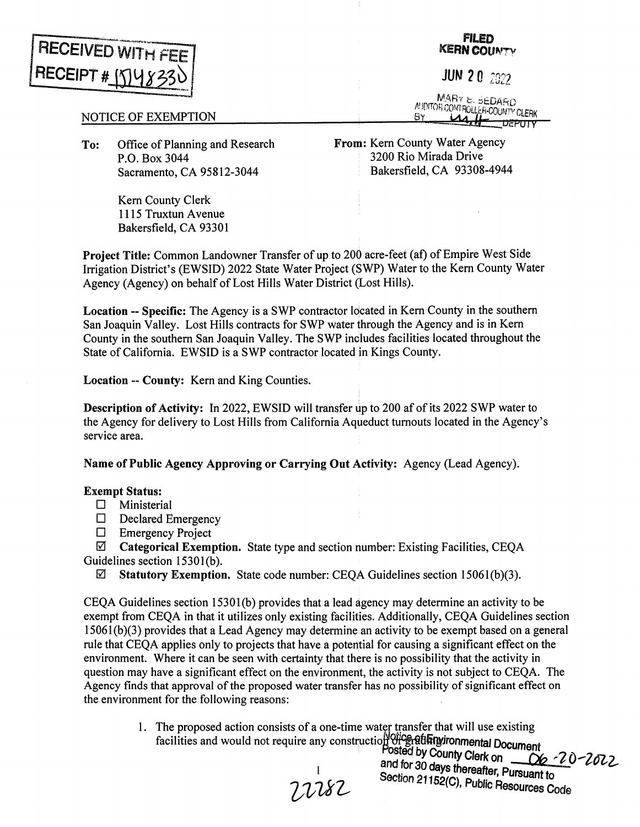

## **FILED KERN COUNTY**

JUN 2 0 *<sup>2022</sup>*

MARY **b.** 6EDARD EXAMING COME CLERK COUNTY CLERK

## NOTICE OF EXEMPTION

**To:** Office of Planning and Research P.O. Box 3044 Sacramento, CA 95812-3044

**From:** Kern County Water Agency 3200 Rio Mirada Drive Bakersfield, CA 93308-4944

Kem County Clerk 1115 Truxtun Avenue Bakersfield, CA 93301

**Project Title:** Common Landowner Transfer of up to 200 acre-feet (af) of Empire West Side Irrigation District's (EWSID) 2022 State Water Project (SWP) Water to the Kem County Water Agency (Agency) on behalf of Lost Hills Water District (Lost Hills).

**Location -- Specific:** The Agency is a SWP contractor located in Kern County in the southern San Joaquin Valley. Lost Hills contracts for SWP water through the Agency and is in Kem County in the southern San Joaquin Valley. The SWP includes facilities located throughout the State of California. EWSID is a SWP contractor located in Kings County.

**Location** -- **County:** Kern and King Counties.

**Description of Activity:** In 2022, EWSID will transfer up to 200 af of its 2022 SWP water to the Agency for delivery to Lost Hills from California Aqµeduct turnouts located in the Agency's service area.

**Name of Public Agency Approving or Carrying Out Activity:** Agency (Lead Agency).

## **Exempt Status:**

- $\square$  Ministerial
- $\Box$  Declared Emergency
- $\Box$  Emergency Project

0 **Categorical Exemption.** State type and section number: Existing Facilities, CEQA Guidelines section 1530l(b).

0 **Statutory Exemption.** State code number: CEQA Guidelines section 15061(b)(3).

CEQA Guidelines section 1530l(b) provides that a lead agency may determine an activity to be exempt from CEQA in that it utilizes only existing facilities. Additionally, CEQA Guidelines section  $15061(b)(3)$  provides that a Lead Agency may determine an activity to be exempt based on a general rule that CEQA applies only to projects that have a poteniial for causing a significant effect on the environment. Where it can be seen with certainty that there is no possibility that the activity in question may have a significant effect on the environment, the activity is not subject to CEQA. The Agency finds that approval of the proposed water transfer has no possibility of significant effect on the environment for the following reasons:

> 1. The proposed action consists of a one-time water transfer that will use existing facilities and would not require any construction of each and **proposed** action consider to the set of the set of the set of the facilities and would not require any construction of the set of the Document

Posted by County Clerk on <u>COC - 20</u> - 20 - 20 - 2<br>and for 30 days thereafter, Pursuant to Section 21152(C), Public Resources Code